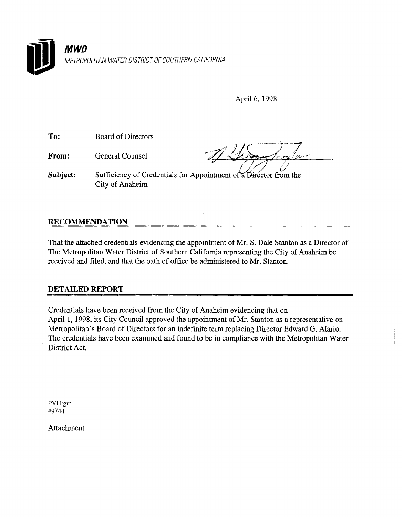

| ۰. | <b>AMPIT</b> |  |
|----|--------------|--|
|    |              |  |

April 6,1998

Subject: Sufficiency of Credentials for Appointment of a Director from the City of Anaheim

# RECOMMENDATION

From:

To: Board of Directors

General Counsel

That the attached credentials evidencing the appointment of Mr. S. Dale Stanton as a Director of The Metropolitan Water District of Southern California representing the City of Anaheim be received and filed, and that the oath of office be administered to Mr. Stanton.

## DETAILED REPORT

Credentials have been received from the City of Anaheim evidencing that on Credentials have been received from the City of Analienn evidencing that on April 1, 1998, its City Council approved the appointment of Mr. Stanton as a representative on Metropolitan's Board of Directors for an indefinite term replacing Director Edward G. Alario. The credentials have been examined and found to be in compliance with the Metropolitan Water<br>District Act.

PVH:gm #9744

Attachment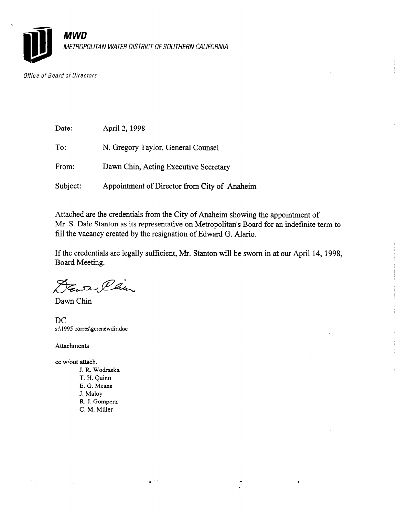

Office of Board of Directors

| Date:    | April 2, 1998                                |
|----------|----------------------------------------------|
| To:      | N. Gregory Taylor, General Counsel           |
| From:    | Dawn Chin, Acting Executive Secretary        |
| Subject: | Appointment of Director from City of Anaheim |

 $\mathbf{r}^{(n)}$ 

Attached are the credentials from the City of Anaheim showing the appointment of Mr. S. Dale Stanton as its representative on Metropolitan's Board for an indefinite term to fill the vacancy created by the resignation of Edward G. Alario.

If the credentials are legally sufficient, Mr. Stanton will be sworn in at our April 14, 1998, Board Meeting.

 $\ddot{\cdot}$ 

DEN Cam

Dawn Chin

DC s:\1995 corres\gcrenewdir.doc

Attachments

 $\bar{\mathcal{N}}_{\rm{in}}$ 

cc wlout attach. J. R. Wodraska T. H. Quinn  $E.$   $\alpha$  Means L. U. MC<br>7 M R. J. Gomperz C. M. Miller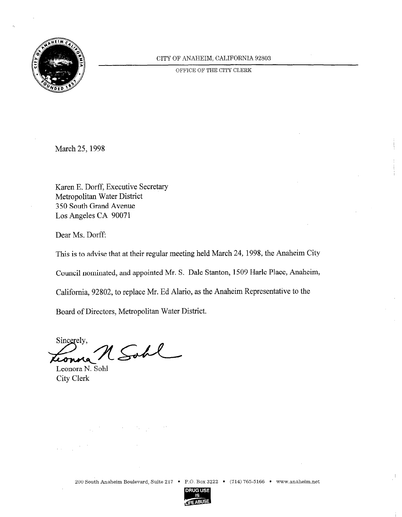

## CITY OF ANAHEIM, CALIFORNIA 92803

OFFICE OF THE CITY CLERK

March 25, 1998

Karen E. Dorff, Executive Secretary Metropolitan Water District 350 South Grand Avenue Los Angeles CA 90071

Dear Ms. Dorff:

This is to advise that at their regular meeting held March 24, 1998, the Anaheim City

Council nominated, and appointed Mr. S. Dale Stanton, 1509 Harle Place, Anaheim,

California, 92802, to replace Mr. Ed Alario, as the Anaheim Representative to the

Board of Directors, Metropolitan Water District.

Sincerely, Sobl Leonora N. Sohl

Leonora N. Sohl<br>City Clerk

 $\overline{\phantom{a}}$ 

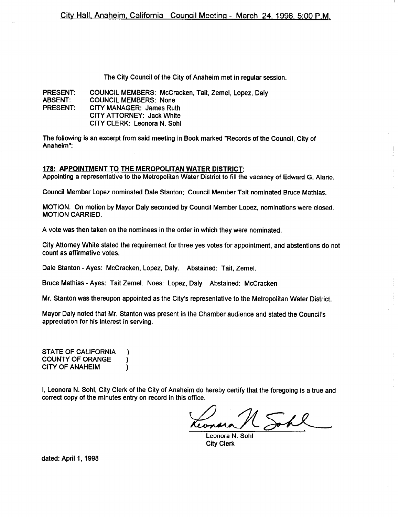The City Council of the City of Anaheim met in regular session.

PRESENT: ABSENT: PRESENT: COUNCIL MEMBERS: McCracken, Tait, Zemel, Lopez, Daly COUNCIL MEMBERS: None CITY MANAGER: James Ruth CITY ATTORNEY: Jack White CITY CLERK: Leonora N. Sohl

The following is an excerpt from said meeting in Book marked "Records of the Council, City of Anaheim":

#### 178: APPOINTMENT TO THE MEROPOLITAN WATER DISTRICT:

Appointing a representative to the Metropolitan Water District to fill the vacancy of Edward G. Alario.

Council Member Lopez nominated Dale Stanton; Council Member Tait nominated Bruce Mathias.

MOTION. On motion by Mayor Daly seconded by Council Member Lopez, nominations were closed. MOTION CARRIED.

A vote was then taken on the nominees in the order in which they were nominated.

City Attorney White stated the requirement for three yes votes for appointment, and abstentions do not count as affirmative votes.

Dale Stanton - Ayes: McCracken, Lopez, Daly. Abstained: Tait, Zemel.

 $\lambda$ 

Bruce Mathias - Ayes: Tait Zemel. Noes: Lopez, Daly Abstained: McCracken

Mr. Stanton was thereupon appointed as the City's representative to the Metropolitan Water District.

Mayor Daly noted that Mr. Stanton was present in the Chamber audience and stated the Council's appreciation for his interest in serving.

STATE OF CALIFORNIA ) COUNTY OF ORANGE  $\lambda$ CITY OF ANAHEIM

I, Leonora N. Sohl, City Clerk of the City of Anaheim do hereby certify that the foregoing is a true and correct copy of the minutes entry on record in this office.

leand

Leonora N. Sohl City Clerk

dated: April 1, 1998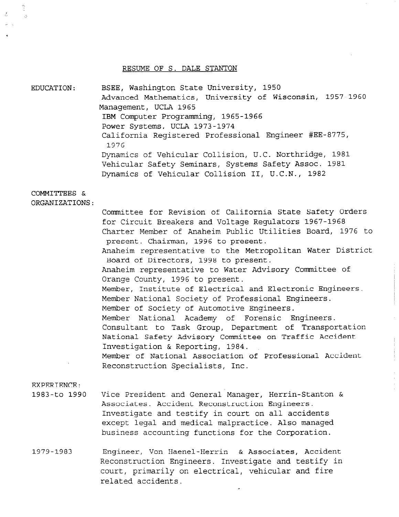#### RESUME OF S. DALE STANTON

EDUCATION: BSEE, Washington State University, 1950 Advanced Mathematics, University of Wisconsin, 1957-1960 Management, UCLA 1965 IBM Computer Programming, 1965-1966 Power Systems, UCLA 1973-1974 California Registered Professional Engineer #EE-8775, 1976 Dynamics of Vehicular Collision, U.C. Northridge, 1981 Vehicular Safety Seminars, Systems Safety Assoc. 1981 Dynamics of Vehicular Collision II, U.C.N., 1982

## COMMITTEES &

ORGANIZATIONS:

Committee for Revision of California State Safety Orders for Circuit Breakers and Voltage Regulators 1967-1968 Charter Member of Anaheim Public Utilities Board, 1976 to present. Chairman, 1996 to present. Anaheim representative to the Metropolitan Water District Board of Directors, 1998 to present. Anaheim representative to Water Advisory Committee of Orange County, 1996 to present. Member, Institute of Electrical and Electronic Engineers. Member National Society of Professional Engineers. Member of Society of Automotive Engineers. Member National Academy of Forensic Engineers. Consultant to Task Group, Department of Transportation National Safety Advisory Committee on Traffic Accident Investigation & Reporting, 1984. Member of National Association of Professional Accident Reconstruction Specialists, Inc.

#### EXPERIENCE:

- 1983-to 1990 Vice President and General'Manager, Herrin-Stanton & Associates. Accident Reconstruction Engineers. Investigate and testify in court on all accidents except legal and medical malpractice. Also managed business accounting functions for the Corporation.
- 1979-1983 Engineer, Von Haenel-Herrin & Associates, Accident Reconstruction Engineers. Investigate and testify in court, primarily on electrical, vehicular and fire related accidents.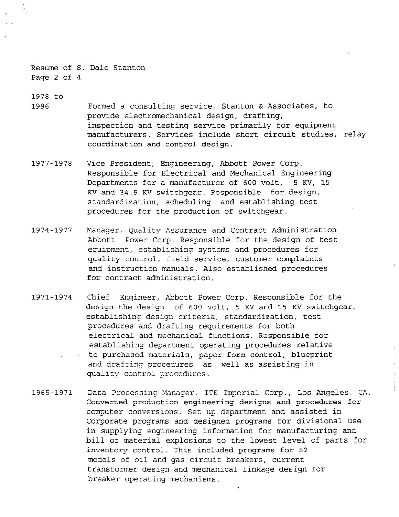Resume of S. Dale Stanton Page 2 of 4

1978 to

1996 Formed a consulting service, Stanton & Associates, to provide electromechanical design, drafting, inspection and testing service primarily for equipment manufacturers. Services include short circuit studies, relay coordination and control design.

 $\mathcal{L}^{\pm}$ 

- 1977-1978 Vice President, Engineering, Abbott Power Corp. Responsible for Electrical and Mechanical Engineering Departments for a manufacturer of 600 volt, 5 Kv, 15 KV and 34.5 KV switchgear. Responsible for design, standardization, scheduling and establishing test procedures for the production of switchgear.
- 1974-1977 Manager, Quality Assurance and Contract Administration Abbott Power Corp. Responsible for the design of test equipment, establishing systems and procedures for quality control, field service, customer complaints and instruction manuals. Also established procedures for contract administration.
- 1971-1974 Chief Engineer, Abbott Power Corp. Responsible for the design the design of 600 volt, 5 KV and 15 KV switchgear, establishing design criteria, standardization, test procedures and drafting requirements for both electrical and mechanical functions. Responsible for establishing department operating procedures relative to purchased materials, paper form control, blueprint and drafting procedures as well as assisting in quality control procedures.
- 1965-1971 Data Processing Manager, ITE Imperial Corp., Los Angeles. CA. Converted production engineering designs and procedures for computer conversions. Set up department and assisted in Corporate programs and designed programs for divisional use in supplying engineering information for manufacturing and bill of material explosions to the lowest level of parts for inventory control. This included programs for 52 models of oil and gas circuit breakers, current transformer des critaires des des sons lineau breaker operating mechanisms.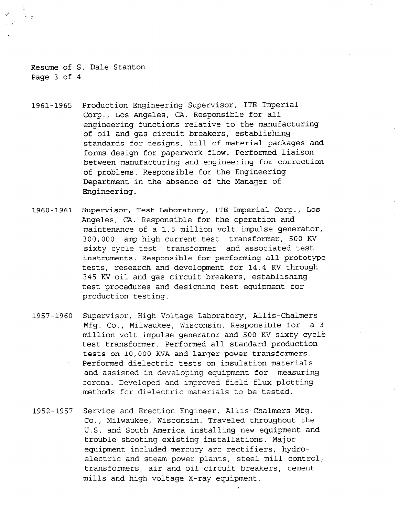Resume of S. Dale Stanton Page 3 of 4

- 1961-1965 Production Engineering Supervisor, ITE Imperial Corp., Los Angeles, CA. Responsible for all engineering functions relative to the manufacturing of oil and gas circuit breakers, establishing standards for designs, bill of material packages and forms design for paperwork flow. Performed liaison between manufacturing and engineering for correction of problems. Responsible for the Engineering Department in the absence of the Manager of Engineering.
- 1960-1961 Supervisor, Test Laboratory, ITE Imperial Corp., LOS Angeles, CA. Responsible for the operation and maintenance of a 1.5 million volt impulse generator, 300,000 amp high current test transformer, 500 KV sixty cycle test transformer and associated test instruments. Responsible for performing all prototype tests, research and development for 14.4 KV through 345 KV oil and gas circuit breakers, establishing test procedures and designing test equipment for production testing.
- 1957-1960 Supervisor, High Voltage Laboratory, Allis-Chalmers Mfg. Co., Milwaukee, Wisconsin. Responsible for a 3 million volt impulse generator and 500 KV sixty cycle test transformer. Performed all standard production tests on 10,000 KVA and larger power transformers. Performed dielectric tests on insulation materials and assisted in developing equipment for measuring corona. Developed and improved field flux plotting methods for dielectric materials to be tested.
- 1952-1957 Service and Erection Engineer, Allis-Chalmers Mfg. co., Milwaukee, Wisconsin. Traveled throughout the U.S. and South America installing new equipment and' trouble shooting existing installations. Major equipment included mercury arc rectifiers, hydroequipment increase mercury are receiving, hydro transformer present breakers, and contract transformers, air and oil circuit breakers, cement<br>mills and high voltage X-ray equipment.